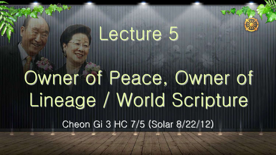### Lecture 5

# Cheon Gi 3 HC 7/5 (Solar 8/22/12) Owner of Peace, Owner of Lineage / World Scripture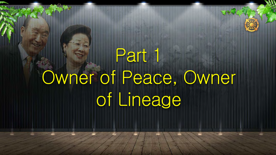# Part 1 Owner of Peace, Owner of Lineage

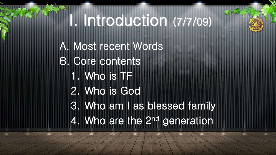# I. Introduction (7/7/09)

A. Most recent Words B. Core contents 1. Who is TF 2. Who is God 3. Who am I as blessed family 4. Who are the 2nd generation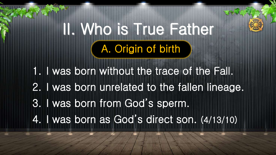1. I was born without the trace of the Fall. 2. I was born unrelated to the fallen lineage. 3. I was born from God's sperm. 4. I was born as God's direct son. (4/13/10)

## II. Who is True Father A. Origin of birth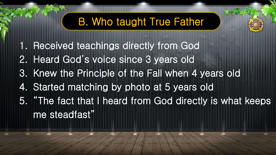- 1. Received teachings directly from God
- 2. Heard God's voice since 3 years old
- 3. Knew the Principle of the Fall when 4 years old
- 4. Started matching by photo at 5 years old
- 5. "The fact that I heard from God directly is what keeps me steadfast"

### B. Who taught True Father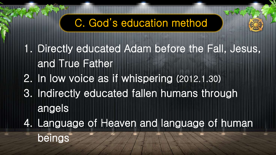1. Directly educated Adam before the Fall, Jesus, and True Father 2. In low voice as if whispering (2012.1.30) 3. Indirectly educated fallen humans through angels 4. Language of Heaven and language of human

beings

### C. God's education method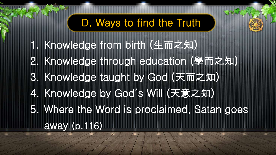- 1. Knowledge from birth (生而之知)
- 2. Knowledge through education (學而之知)
- 3. Knowledge taught by God (天而之知)
- 4. Knowledge by God's Will (天意之知)
- 5. Where the Word is proclaimed, Satan goes away (p.116)

### D. Ways to find the Truth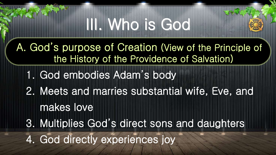# III. Who is God

A. God's purpose of Creation (View of the Principle of the History of the Providence of Salvation)

- 1. God embodies Adam's body
- 2. Meets and marries substantial wife, Eve, and makes love
- 3. Multiplies God's direct sons and daughters

4. God directly experiences joy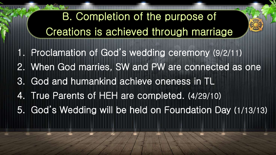- 1. Proclamation of God's wedding ceremony (9/2/11)
- 2. When God marries, SW and PW are connected as one
- 3. God and humankind achieve oneness in TL
- 4. True Parents of HEH are completed. (4/29/10)
- 5. God's Wedding will be held on Foundation Day (1/13/13)

### B. Completion of the purpose of Creations is achieved through marriage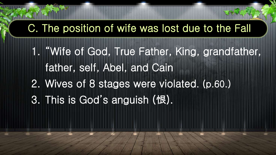1. "Wife of God, True Father, King, grandfather, father, self, Abel, and Cain 2. Wives of 8 stages were violated. (p.60.) 3. This is God's anguish (恨).

### C. The position of wife was lost due to the Fall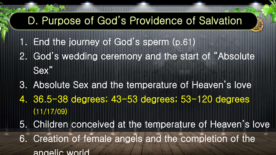- 1. End the journey of God's sperm (p.61)
- 2. God's wedding ceremony and the start of "Absolute Sex"
- 3. Absolute Sex and the temperature of Heaven's love
- 4. 36.5-38 degrees; 43-53 degrees; 53-120 degrees (11/17/09)
- 5. Children conceived at the temperature of Heaven's love
- 6. Creation of female angels and the completion of the angelic world

### D. Purpose of God's Providence of Salvation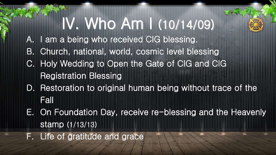- A. I am a being who received CIG blessing.
- B. Church, national, world, cosmic level blessing
- C. Holy Wedding to Open the Gate of CIG and CIG Registration Blessing
- D. Restoration to original human being without trace of the Fall
- E. On Foundation Day, receive re-blessing and the Heavenly stamp (1/13/13)
- F. Life of gratitude and grace

# IV. Who Am I (10/14/09)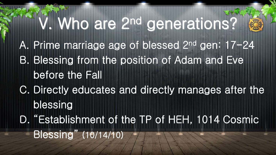A. Prime marriage age of blessed 2nd gen: 17-24 B. Blessing from the position of Adam and Eve before the Fall C. Directly educates and directly manages after the blessing D. "Establishment of the TP of HEH, 1014 Cosmic Blessing" (10/14/10)

# V. Who are 2nd generations?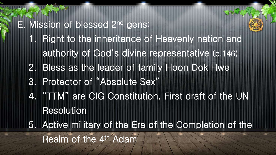### E. Mission of blessed 2nd gens:

- 1. Right to the inheritance of Heavenly nation and authority of God's divine representative (p.146)
- 2. Bless as the leader of family Hoon Dok Hwe
- 3. Protector of "Absolute Sex"
- 4. "TTM" are CIG Constitution, First draft of the UN Resolution
- 5. Active military of the Era of the Completion of the Realm of the 4<sup>th</sup> Adam

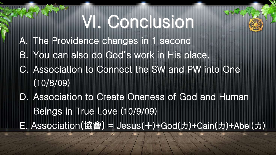# VI. Conclusion

- A. The Providence changes in 1 second
- B. You can also do God's work in His place.
- C. Association to Connect the SW and PW into One (10/8/09)
- D. Association to Create Oneness of God and Human Beings in True Love (10/9/09) E. Association(協會) = Jesus(十)+God(力)+Cain(力)+Abel(力)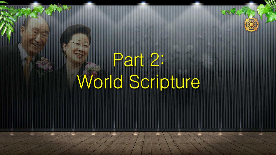# Part 2: World Scripture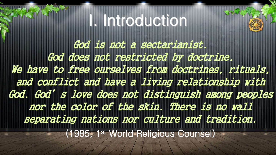God is not a sectarianist. God does not restricted by doctrine. We have to free ourselves from doctrines, rituals, and conflict and have a living relationship with God. God's love does not distinguish among peoples nor the color of the skin. There is no wall separating nations nor culture and tradition. (1985, 1st World Religious Counsel)

# I. Introduction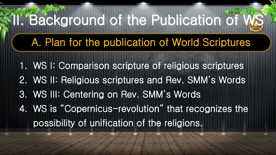- 1. WS I: Comparison scripture of religious scriptures 2. WS II: Religious scriptures and Rev. SMM's Words 3. WS III: Centering on Rev. SMM's Words 4. WS is "Copernicus-revolution" that recognizes the
	- possibility of unification of the religions.

# II. Background of the Publication of V

A. Plan for the publication of World Scriptures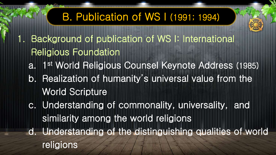1. Background of publication of WS I: International Religious Foundation a. 1 st World Religious Counsel Keynote Address (1985) b. Realization of humanity's universal value from the World Scripture c. Understanding of commonality, universality, and similarity among the world religions d. Understanding of the distinguishing qualities of world religions



### B. Publication of WS I (1991; 1994)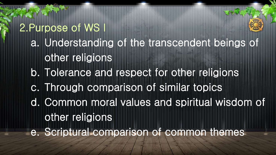2.Purpose of WS I a. Understanding of the transcendent beings of other religions b. Tolerance and respect for other religions c. Through comparison of similar topics d. Common moral values and spiritual wisdom of other religions e. Scriptural comparison of common themes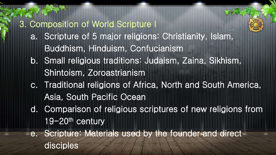### 3. Composition of World Scripture I

- a. Scripture of 5 major religions: Christianity, Islam, Buddhism, Hinduism, Confucianism
- b. Small religious traditions: Judaism, Zaina, Sikhism, Shintoism, Zoroastrianism
- c. Traditional religions of Africa, North and South America, Asia, South Pacific Ocean
- d. Comparison of religious scriptures of new religions from 19-20th century
- e. Scripture: Materials used by the founder and direct disciples

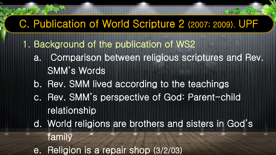- 1. Background of the publication of WS2
	- a. Comparison between religious scriptures and Rev. SMM's Words
	- b. Rev. SMM lived according to the teachings
	- c. Rev. SMM's perspective of God: Parent-child relationship
	- d. World religions are brothers and sisters in God's
		- family
	- e. Religion is a repair shop (3/2/03)



### C. Publication of World Scripture 2 (2007; 2009). UPF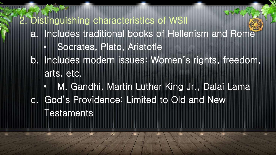2. Distinguishing characteristics of WSII a. Includes traditional books of Hellenism and Rome • Socrates, Plato, Aristotle b. Includes modern issues: Women's rights, freedom, arts, etc. • M. Gandhi, Martin Luther King Jr., Dalai Lama c. God's Providence: Limited to Old and New **Testaments**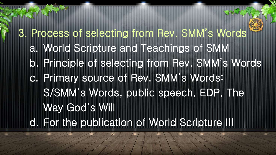3. Process of selecting from Rev. SMM's Words a. World Scripture and Teachings of SMM b. Principle of selecting from Rev. SMM's Words c. Primary source of Rev. SMM's Words: S/SMM's Words, public speech, EDP, The Way God's Will d. For the publication of World Scripture III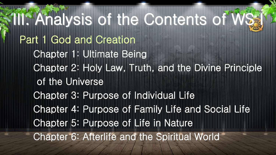**III. Analysis of the Contents of WS:** Part 1 God and Creation Chapter 1: Ultimate Being Chapter 2: Holy Law, Truth, and the Divine Principle of the Universe Chapter 3: Purpose of Individual Life Chapter 4: Purpose of Family Life and Social Life Chapter 5: Purpose of Life in Nature Chapter 6: Afterlife and the Spiritual World

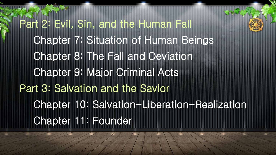Part 2: Evil, Sin, and the Human Fall Chapter 7: Situation of Human Beings Chapter 8: The Fall and Deviation Chapter 9: Major Criminal Acts Part 3: Salvation and the Savior Chapter 10: Salvation-Liberation-Realization Chapter 11: Founder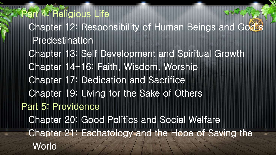Part 4: Religious Life Chapter 12: Responsibility of Human Beings and God's Predestination Chapter 13: Self Development and Spiritual Growth Chapter 14-16: Faith, Wisdom, Worship Chapter 17: Dedication and Sacrifice Chapter 19: Living for the Sake of Others Part 5: Providence Chapter 20: Good Politics and Social Welfare Chapter 21: Eschatology and the Hope of Saving the **World**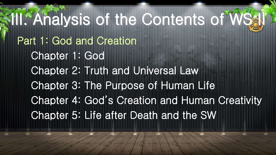III. Analysis of the Contents of WS4 Part 1: God and Creation Chapter 1: God Chapter 2: Truth and Universal Law Chapter 3: The Purpose of Human Life Chapter 4: God's Creation and Human Creativity Chapter 5: Life after Death and the SW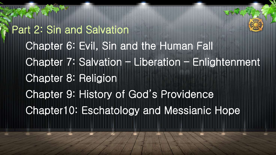Part 2: Sin and Salvation Chapter 6: Evil, Sin and the Human Fall Chapter 7: Salvation – Liberation – Enlightenment Chapter 8: Religion Chapter 9: History of God's Providence Chapter10: Eschatology and Messianic Hope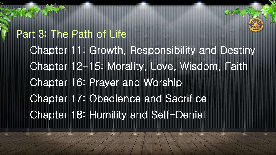Part 3: The Path of Life Chapter 11: Growth, Responsibility and Destiny Chapter 12-15: Morality, Love, Wisdom, Faith Chapter 16: Prayer and Worship Chapter 17: Obedience and Sacrifice Chapter 18: Humility and Self-Denial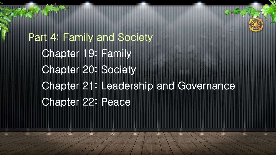Part 4: Family and Society Chapter 19: Family Chapter 20: Society Chapter 21: Leadership and Governance Chapter 22: Peace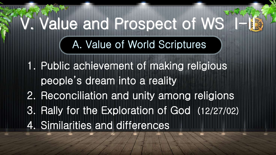1. Public achievement of making religious people's dream into a reality 2. Reconciliation and unity among religions 3. Rally for the Exploration of God (12/27/02) 4. Similarities and differences

# A. Value of World Scriptures V. Value and Prospect of WS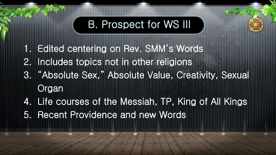- 1. Edited centering on Rev. SMM's Words
- 2. Includes topics not in other religions
- 3. "Absolute Sex," Absolute Value, Creativity, Sexual **Organ**
- 4. Life courses of the Messiah, TP, King of All Kings
- 5. Recent Providence and new Words

### B. Prospect for WS III